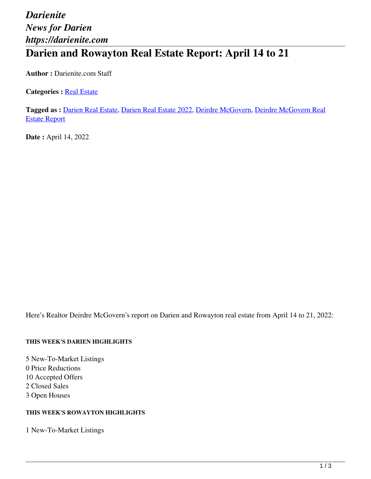## *Darienite News for Darien https://darienite.com* **Darien and Rowayton Real Estate Report: April 14 to 21**

**Author :** Darienite.com Staff

**Categories : [Real Estate](https://darienite.com/category/real-estate)** 

**Tagged as :** Darien Real Estate, Darien Real Estate 2022, Deirdre McGovern, Deirdre McGovern Real Estate Report

**Date : April 14, 2022** 

Here's Realtor Deirdre McGovern's report on Darien and Rowayton real estate from April 14 to 21, 2022:

#### **THIS WEEK'S DARIEN HIGHLIGHTS**

5 New-To-Market Listings 0 Price Reductions 10 Accepted Offers 2 Closed Sales 3 Open Houses

#### **THIS WEEK'S ROWAYTON HIGHLIGHTS**

1 New-To-Market Listings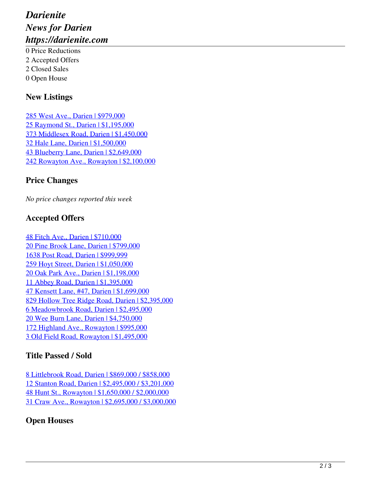# *Darienite News for Darien https://darienite.com*

0 Price Reductions 2 Accepted Offers 2 Closed Sales 0 Open House

#### **New Listings**

285 West Ave., Darien | \$979,000 25 Raymond St., Darien | \$1,195,000 373 Middlesex Road, Darien | \$1,450,000 32 Hale Lane, Darien | \$1,500,000 43 Blueberry Lane, Darien | \$2,649,000 242 Rowayton Ave., Rowayton | \$2,100,000

### **Price Changes**

*No price changes reported this week*

### **Accepted Offers**

48 Fitch Ave., Darien | \$710,000 20 Pine Brook Lane, Darien | \$799,000 1638 Post Road, Darien | \$999,999 259 Hoyt Street, Darien | \$1,050,000 20 Oak Park Ave., Darien | \$1,198,000 11 Abbey Road, Darien | \$1,395,000 47 Kensett Lane, #47, Darien | \$1,699,000 829 Hollow Tree Ridge Road, Darien | \$2,395,000 6 Meadowbrook Road, Darien | \$2,495,000 20 Wee Burn Lane, Darien | \$4,750,000 172 Highland Ave., Rowayton | \$995,000 3 Old Field Road, Rowayton | \$1,495,000

#### **Title Passed / Sold**

8 Littlebrook Road, Darien | \$869,000 / \$858,000 12 Stanton Road, Darien | \$2,495,000 / \$3,201,000 48 Hunt St., Rowayton | \$1,650,000 / \$2,000,000 31 Craw Ave., Rowayton | \$2,695,000 / \$3,000,000

### **Open Houses**